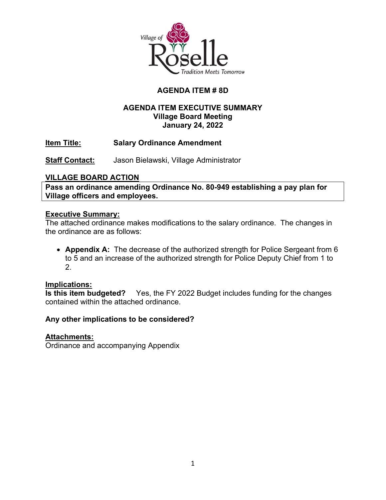

# **AGENDA ITEM # 8D**

### **AGENDA ITEM EXECUTIVE SUMMARY Village Board Meeting January 24, 2022**

**Item Title: Salary Ordinance Amendment**

**Staff Contact:** Jason Bielawski, Village Administrator

### **VILLAGE BOARD ACTION**

**Pass an ordinance amending Ordinance No. 80-949 establishing a pay plan for Village officers and employees.**

#### **Executive Summary:**

The attached ordinance makes modifications to the salary ordinance. The changes in the ordinance are as follows:

• **Appendix A:** The decrease of the authorized strength for Police Sergeant from 6 to 5 and an increase of the authorized strength for Police Deputy Chief from 1 to 2.

**Implications:** Yes, the FY 2022 Budget includes funding for the changes contained within the attached ordinance.

#### **Any other implications to be considered?**

#### **Attachments:**

Ordinance and accompanying Appendix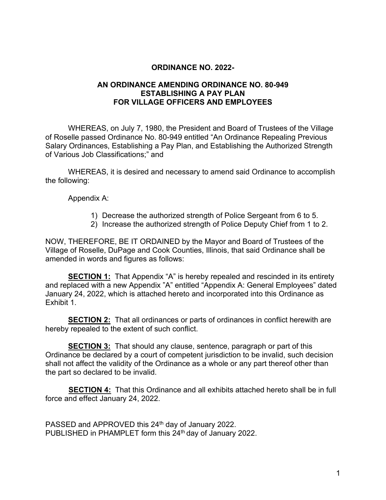#### **ORDINANCE NO. 2022-**

#### **AN ORDINANCE AMENDING ORDINANCE NO. 80-949 ESTABLISHING A PAY PLAN FOR VILLAGE OFFICERS AND EMPLOYEES**

WHEREAS, on July 7, 1980, the President and Board of Trustees of the Village of Roselle passed Ordinance No. 80-949 entitled "An Ordinance Repealing Previous Salary Ordinances, Establishing a Pay Plan, and Establishing the Authorized Strength of Various Job Classifications;" and

WHEREAS, it is desired and necessary to amend said Ordinance to accomplish the following:

Appendix A:

- 1) Decrease the authorized strength of Police Sergeant from 6 to 5.
- 2) Increase the authorized strength of Police Deputy Chief from 1 to 2.

NOW, THEREFORE, BE IT ORDAINED by the Mayor and Board of Trustees of the Village of Roselle, DuPage and Cook Counties, Illinois, that said Ordinance shall be amended in words and figures as follows:

**SECTION 1:** That Appendix "A" is hereby repealed and rescinded in its entirety and replaced with a new Appendix "A" entitled "Appendix A: General Employees" dated January 24, 2022, which is attached hereto and incorporated into this Ordinance as Exhibit 1.

**SECTION 2:** That all ordinances or parts of ordinances in conflict herewith are hereby repealed to the extent of such conflict.

**SECTION 3:** That should any clause, sentence, paragraph or part of this Ordinance be declared by a court of competent jurisdiction to be invalid, such decision shall not affect the validity of the Ordinance as a whole or any part thereof other than the part so declared to be invalid.

**SECTION 4:** That this Ordinance and all exhibits attached hereto shall be in full force and effect January 24, 2022.

PASSED and APPROVED this 24<sup>th</sup> day of January 2022. PUBLISHED in PHAMPLET form this 24<sup>th</sup> day of January 2022.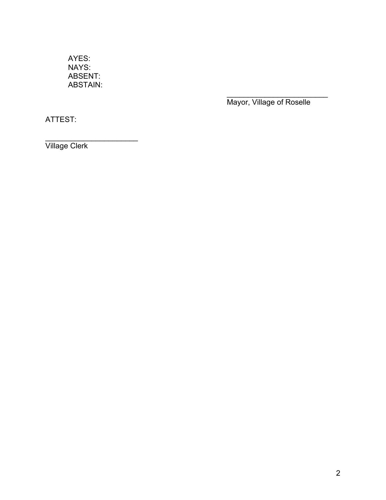AYES: NAYS: ABSENT: ABSTAIN:

> \_\_\_\_\_\_\_\_\_\_\_\_\_\_\_\_\_\_\_\_\_\_\_\_ Mayor, Village of Roselle

ATTEST:

\_\_\_\_\_\_\_\_\_\_\_\_\_\_\_\_\_\_\_\_\_\_ Village Clerk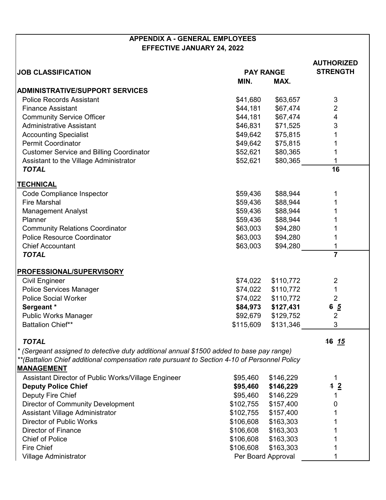## **APPENDIX A - GENERAL EMPLOYEES EFFECTIVE JANUARY 24, 2022**

|                                                                                              |                    |                  | <b>AUTHORIZED</b><br><b>STRENGTH</b> |
|----------------------------------------------------------------------------------------------|--------------------|------------------|--------------------------------------|
| <b>JOB CLASSIFICATION</b>                                                                    |                    | <b>PAY RANGE</b> |                                      |
|                                                                                              | MIN.               | MAX.             |                                      |
| <b>ADMINISTRATIVE/SUPPORT SERVICES</b>                                                       |                    |                  |                                      |
| <b>Police Records Assistant</b>                                                              | \$41,680           | \$63,657         | 3                                    |
| <b>Finance Assistant</b>                                                                     | \$44,181           | \$67,474         | 2                                    |
| <b>Community Service Officer</b>                                                             | \$44,181           | \$67,474         | 4                                    |
| <b>Administrative Assistant</b>                                                              | \$46,831           | \$71,525         | $\sqrt{3}$                           |
| <b>Accounting Specialist</b>                                                                 | \$49,642           | \$75,815         |                                      |
| <b>Permit Coordinator</b>                                                                    | \$49,642           | \$75,815         |                                      |
| <b>Customer Service and Billing Coordinator</b>                                              | \$52,621           | \$80,365         |                                      |
| Assistant to the Village Administrator                                                       | \$52,621           | \$80,365         |                                      |
| <b>TOTAL</b>                                                                                 |                    |                  | 16                                   |
|                                                                                              |                    |                  |                                      |
| <b>TECHNICAL</b>                                                                             |                    |                  |                                      |
| <b>Code Compliance Inspector</b>                                                             | \$59,436           | \$88,944         |                                      |
| <b>Fire Marshal</b>                                                                          | \$59,436           | \$88,944         |                                      |
| <b>Management Analyst</b>                                                                    | \$59,436           | \$88,944         |                                      |
| Planner                                                                                      | \$59,436           | \$88,944         |                                      |
| <b>Community Relations Coordinator</b>                                                       | \$63,003           | \$94,280         |                                      |
| <b>Police Resource Coordinator</b>                                                           | \$63,003           | \$94,280         |                                      |
| <b>Chief Accountant</b>                                                                      | \$63,003           | \$94,280         |                                      |
| <b>TOTAL</b>                                                                                 |                    |                  | $\overline{7}$                       |
| PROFESSIONAL/SUPERVISORY                                                                     |                    |                  |                                      |
| <b>Civil Engineer</b>                                                                        | \$74,022           | \$110,772        | $\overline{2}$                       |
| <b>Police Services Manager</b>                                                               | \$74,022           | \$110,772        | 1                                    |
| <b>Police Social Worker</b>                                                                  | \$74,022           | \$110,772        | $\overline{2}$                       |
| Sergeant *                                                                                   | \$84,973           | \$127,431        | $6\frac{5}{2}$                       |
| <b>Public Works Manager</b>                                                                  | \$92,679           | \$129,752        | $\overline{2}$                       |
| <b>Battalion Chief**</b>                                                                     | \$115,609          | \$131,346        | 3                                    |
|                                                                                              |                    |                  |                                      |
| <b>TOTAL</b>                                                                                 |                    |                  | 16 15                                |
| * (Sergeant assigned to detective duty additional annual \$1500 added to base pay range)     |                    |                  |                                      |
| **(Battalion Chief additional compensation rate pursuant to Section 4-10 of Personnel Policy |                    |                  |                                      |
| <b>MANAGEMENT</b>                                                                            |                    |                  |                                      |
| Assistant Director of Public Works/Village Engineer                                          | \$95,460           | \$146,229        |                                      |
| <b>Deputy Police Chief</b>                                                                   | \$95,460           | \$146,229        | $-12$                                |
| Deputy Fire Chief                                                                            | \$95,460           | \$146,229        |                                      |
| <b>Director of Community Development</b>                                                     | \$102,755          | \$157,400        | O                                    |
| Assistant Village Administrator                                                              | \$102,755          | \$157,400        |                                      |
| <b>Director of Public Works</b>                                                              | \$106,608          | \$163,303        |                                      |
| <b>Director of Finance</b>                                                                   | \$106,608          | \$163,303        |                                      |
| <b>Chief of Police</b>                                                                       | \$106,608          | \$163,303        |                                      |
| Fire Chief                                                                                   | \$106,608          | \$163,303        |                                      |
| Village Administrator                                                                        | Per Board Approval |                  |                                      |